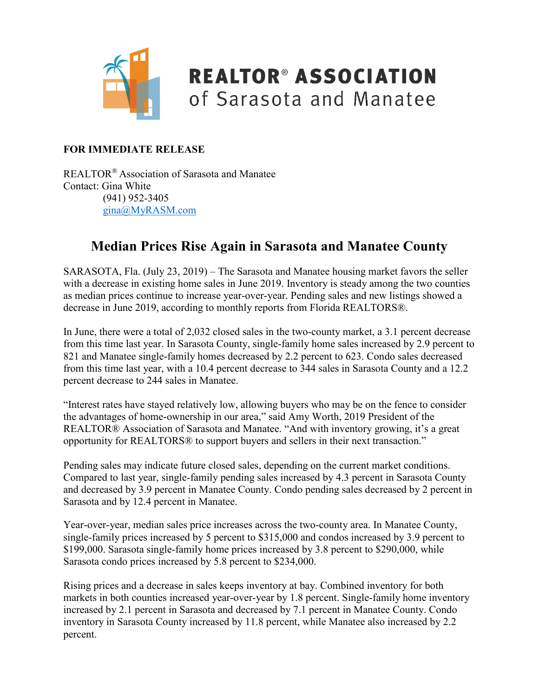

## **REALTOR® ASSOCIATION** of Sarasota and Manatee

#### **FOR IMMEDIATE RELEASE**

REALTOR® Association of Sarasota and Manatee Contact: Gina White (941) 952-3405 [gina@MyRASM.com](mailto:gina@MyRASM.com)

#### **Median Prices Rise Again in Sarasota and Manatee County**

SARASOTA, Fla. (July 23, 2019) – The Sarasota and Manatee housing market favors the seller with a decrease in existing home sales in June 2019. Inventory is steady among the two counties as median prices continue to increase year-over-year. Pending sales and new listings showed a decrease in June 2019, according to monthly reports from Florida REALTORS®.

In June, there were a total of 2,032 closed sales in the two-county market, a 3.1 percent decrease from this time last year. In Sarasota County, single-family home sales increased by 2.9 percent to 821 and Manatee single-family homes decreased by 2.2 percent to 623. Condo sales decreased from this time last year, with a 10.4 percent decrease to 344 sales in Sarasota County and a 12.2 percent decrease to 244 sales in Manatee.

"Interest rates have stayed relatively low, allowing buyers who may be on the fence to consider the advantages of home-ownership in our area," said Amy Worth, 2019 President of the REALTOR® Association of Sarasota and Manatee. "And with inventory growing, it's a great opportunity for REALTORS® to support buyers and sellers in their next transaction."

Pending sales may indicate future closed sales, depending on the current market conditions. Compared to last year, single-family pending sales increased by 4.3 percent in Sarasota County and decreased by 3.9 percent in Manatee County. Condo pending sales decreased by 2 percent in Sarasota and by 12.4 percent in Manatee.

Year-over-year, median sales price increases across the two-county area. In Manatee County, single-family prices increased by 5 percent to \$315,000 and condos increased by 3.9 percent to \$199,000. Sarasota single-family home prices increased by 3.8 percent to \$290,000, while Sarasota condo prices increased by 5.8 percent to \$234,000.

Rising prices and a decrease in sales keeps inventory at bay. Combined inventory for both markets in both counties increased year-over-year by 1.8 percent. Single-family home inventory increased by 2.1 percent in Sarasota and decreased by 7.1 percent in Manatee County. Condo inventory in Sarasota County increased by 11.8 percent, while Manatee also increased by 2.2 percent.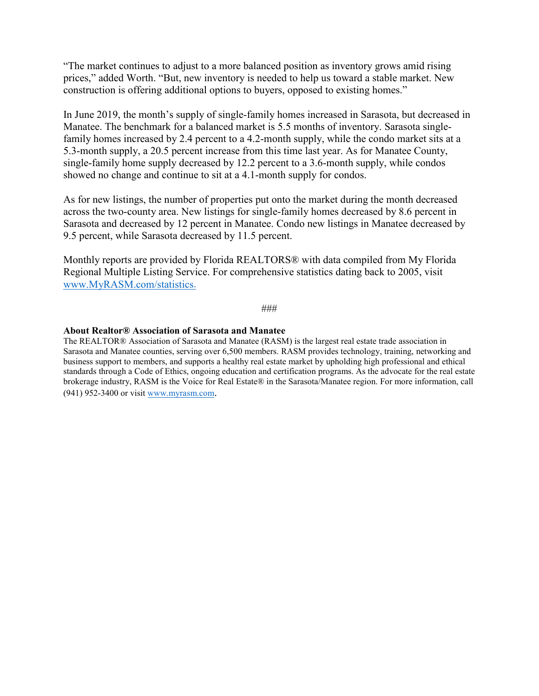"The market continues to adjust to a more balanced position as inventory grows amid rising prices," added Worth. "But, new inventory is needed to help us toward a stable market. New construction is offering additional options to buyers, opposed to existing homes."

In June 2019, the month's supply of single-family homes increased in Sarasota, but decreased in Manatee. The benchmark for a balanced market is 5.5 months of inventory. Sarasota singlefamily homes increased by 2.4 percent to a 4.2-month supply, while the condo market sits at a 5.3-month supply, a 20.5 percent increase from this time last year. As for Manatee County, single-family home supply decreased by 12.2 percent to a 3.6-month supply, while condos showed no change and continue to sit at a 4.1-month supply for condos.

As for new listings, the number of properties put onto the market during the month decreased across the two-county area. New listings for single-family homes decreased by 8.6 percent in Sarasota and decreased by 12 percent in Manatee. Condo new listings in Manatee decreased by 9.5 percent, while Sarasota decreased by 11.5 percent.

Monthly reports are provided by Florida REALTORS® with data compiled from My Florida Regional Multiple Listing Service. For comprehensive statistics dating back to 2005, visit [www.MyRASM.com/statistics.](http://www.myrasm.com/statistics)

#### ###

#### **About Realtor® Association of Sarasota and Manatee**

The REALTOR® Association of Sarasota and Manatee (RASM) is the largest real estate trade association in Sarasota and Manatee counties, serving over 6,500 members. RASM provides technology, training, networking and business support to members, and supports a healthy real estate market by upholding high professional and ethical standards through a Code of Ethics, ongoing education and certification programs. As the advocate for the real estate brokerage industry, RASM is the Voice for Real Estate® in the Sarasota/Manatee region. For more information, call (941) 952-3400 or visi[t www.myrasm.com.](http://www.myrasm.com/)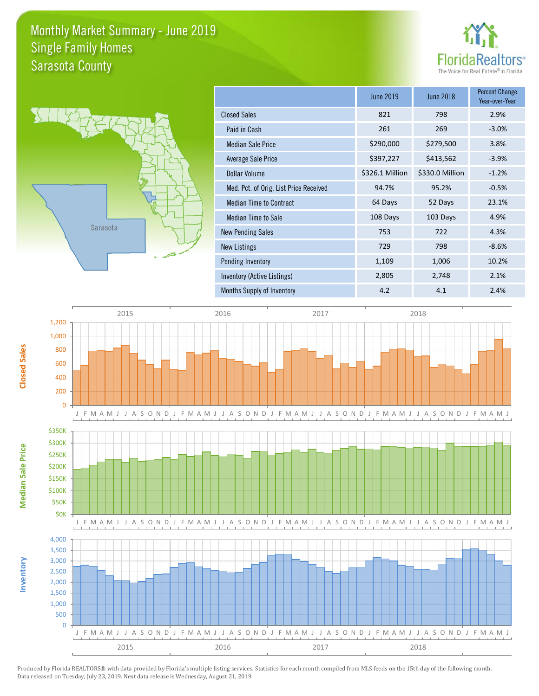#### Monthly Market Summary - June 2019 Sarasota County Single Family Homes





**Inventory**

**Median Sale Price**

**Median Sale Price** 

**Closed Sales**

|                                        | <b>June 2019</b> | <b>June 2018</b> | <b>Percent Change</b><br>Year-over-Year |
|----------------------------------------|------------------|------------------|-----------------------------------------|
| <b>Closed Sales</b>                    | 821              | 798              | 2.9%                                    |
| Paid in Cash                           | 261              | 269              | $-3.0%$                                 |
| <b>Median Sale Price</b>               | \$290,000        | \$279,500        | 3.8%                                    |
| Average Sale Price                     | \$397,227        | \$413,562        | $-3.9%$                                 |
| Dollar Volume                          | \$326.1 Million  | \$330.0 Million  | $-1.2%$                                 |
| Med. Pct. of Orig. List Price Received | 94.7%            | 95.2%            | $-0.5%$                                 |
| <b>Median Time to Contract</b>         | 64 Days          | 52 Days          | 23.1%                                   |
| Median Time to Sale                    | 108 Days         | 103 Days         | 4.9%                                    |
| <b>New Pending Sales</b>               | 753              | 722              | 4.3%                                    |
| New Listings                           | 729              | 798              | $-8.6%$                                 |
| Pending Inventory                      | 1,109            | 1,006            | 10.2%                                   |
| Inventory (Active Listings)            | 2,805            | 2,748            | 2.1%                                    |
| Months Supply of Inventory             | 4.2              | 4.1              | 2.4%                                    |

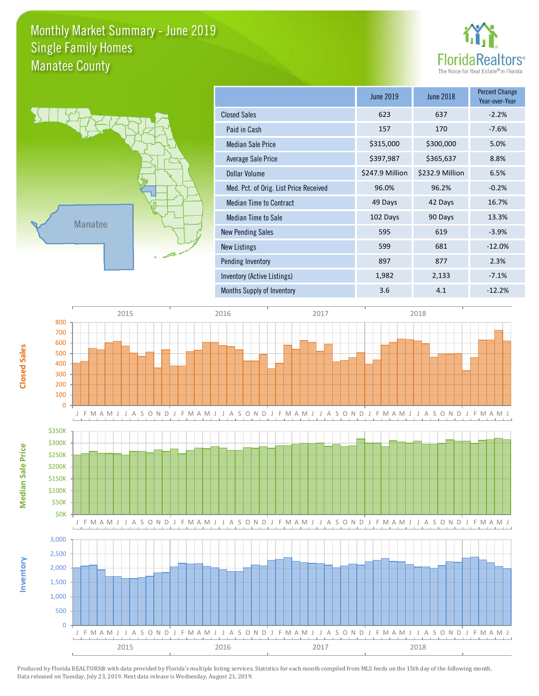#### Monthly Market Summary - June 2019 Manatee County Single Family Homes





**Inventory**

**Median Sale Price**

**Median Sale Price** 

**Closed Sales**

|                                        | <b>June 2019</b> | <b>June 2018</b> | <b>Percent Change</b><br>Year-over-Year |
|----------------------------------------|------------------|------------------|-----------------------------------------|
| <b>Closed Sales</b>                    | 623              | 637              | $-2.2%$                                 |
| Paid in Cash                           | 157              | 170              | $-7.6%$                                 |
| <b>Median Sale Price</b>               | \$315,000        | \$300,000        | 5.0%                                    |
| Average Sale Price                     | \$397,987        | \$365,637        | 8.8%                                    |
| Dollar Volume                          | \$247.9 Million  | \$232.9 Million  | 6.5%                                    |
| Med. Pct. of Orig. List Price Received | 96.0%            | 96.2%            | $-0.2%$                                 |
| <b>Median Time to Contract</b>         | 49 Days          | 42 Days          | 16.7%                                   |
| Median Time to Sale                    | 102 Days         | 90 Days          | 13.3%                                   |
| <b>New Pending Sales</b>               | 595              | 619              | $-3.9%$                                 |
| <b>New Listings</b>                    | 599              | 681              | $-12.0%$                                |
| Pending Inventory                      | 897              | 877              | 2.3%                                    |
| Inventory (Active Listings)            | 1,982            | 2,133            | $-7.1%$                                 |
| Months Supply of Inventory             | 3.6              | 4.1              | $-12.2%$                                |

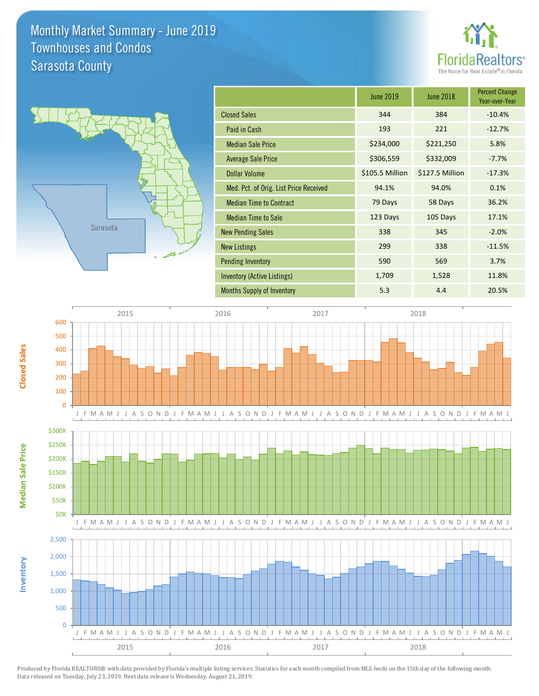### Monthly Market Summary - June 2019 Sarasota County Townhouses and Condos





**Inventory**

**Median Sale Price**

**Median Sale Price** 

**Closed Sales**

|                                        | <b>June 2019</b> | June 2018       | <b>Percent Change</b><br>Year-over-Year |
|----------------------------------------|------------------|-----------------|-----------------------------------------|
| <b>Closed Sales</b>                    | 344              | 384             | $-10.4%$                                |
| Paid in Cash                           | 193              | 221             | $-12.7%$                                |
| <b>Median Sale Price</b>               | \$234,000        | \$221,250       | 5.8%                                    |
| <b>Average Sale Price</b>              | \$306,559        | \$332,009       | $-7.7%$                                 |
| <b>Dollar Volume</b>                   | \$105.5 Million  | \$127.5 Million | $-17.3%$                                |
| Med. Pct. of Orig. List Price Received | 94.1%            | 94.0%           | 0.1%                                    |
| <b>Median Time to Contract</b>         | 79 Days          | 58 Days         | 36.2%                                   |
| <b>Median Time to Sale</b>             | 123 Days         | 105 Days        | 17.1%                                   |
| <b>New Pending Sales</b>               | 338              | 345             | $-2.0%$                                 |
| <b>New Listings</b>                    | 299              | 338             | $-11.5%$                                |
| <b>Pending Inventory</b>               | 590              | 569             | 3.7%                                    |
| Inventory (Active Listings)            | 1,709            | 1,528           | 11.8%                                   |
| <b>Months Supply of Inventory</b>      | 5.3              | 4.4             | 20.5%                                   |

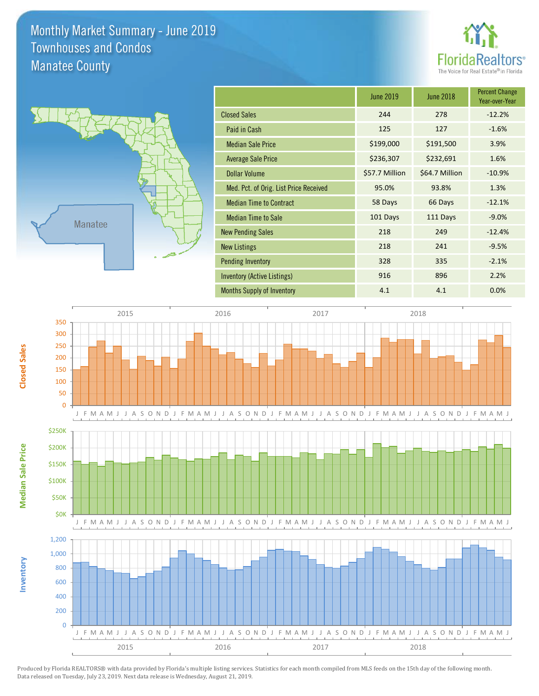### Monthly Market Summary - June 2019 Manatee County Townhouses and Condos





**Inventory**

**Median Sale Price**

**Median Sale Price** 

**Closed Sales**

|                                        | <b>June 2019</b> | <b>June 2018</b> | <b>Percent Change</b><br>Year-over-Year |
|----------------------------------------|------------------|------------------|-----------------------------------------|
| <b>Closed Sales</b>                    | 244              | 278              | $-12.2%$                                |
| Paid in Cash                           | 125              | 127              | $-1.6%$                                 |
| <b>Median Sale Price</b>               | \$199,000        | \$191,500        | 3.9%                                    |
| <b>Average Sale Price</b>              | \$236,307        | \$232,691        | 1.6%                                    |
| <b>Dollar Volume</b>                   | \$57.7 Million   | \$64.7 Million   | $-10.9%$                                |
| Med. Pct. of Orig. List Price Received | 95.0%            | 93.8%            | 1.3%                                    |
| <b>Median Time to Contract</b>         | 58 Days          | 66 Days          | $-12.1%$                                |
| <b>Median Time to Sale</b>             | 101 Days         | 111 Days         | $-9.0%$                                 |
| <b>New Pending Sales</b>               | 218              | 249              | $-12.4%$                                |
| <b>New Listings</b>                    | 218              | 241              | $-9.5%$                                 |
| <b>Pending Inventory</b>               | 328              | 335              | $-2.1%$                                 |
| Inventory (Active Listings)            | 916              | 896              | 2.2%                                    |
| <b>Months Supply of Inventory</b>      | 4.1              | 4.1              | 0.0%                                    |

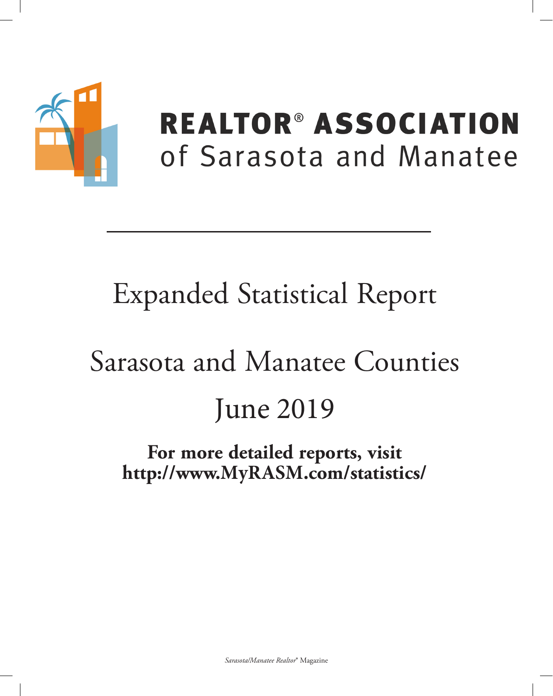

# **REALTOR® ASSOCIATION** of Sarasota and Manatee

# **Expanded Statistical Report**

# Sarasota and Manatee Counties **June 2019**

## For more detailed reports, visit http://www.MyRASM.com/statistics/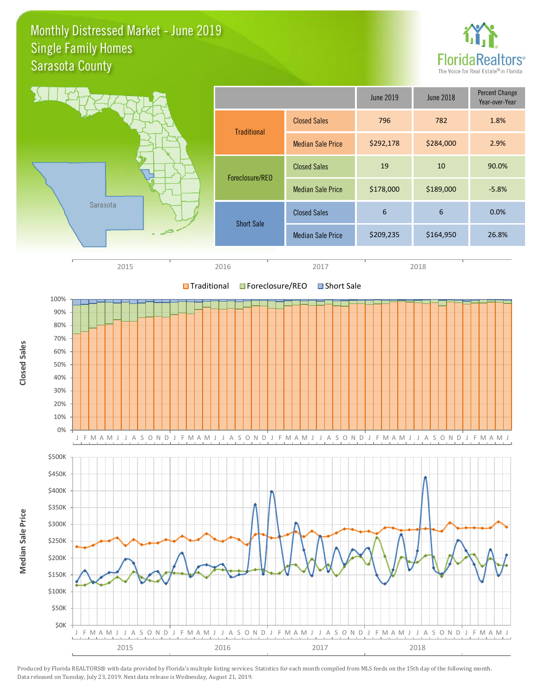#### Monthly Distressed Market - June 2019 Sarasota County Single Family Homes







Produced by Florida REALTORS® with data provided by Florida's multiple listing services. Statistics for each month compiled from MLS feeds on the 15th day of the following month. Data released on Tuesday, July 23, 2019. Next data release is Wednesday, August 21, 2019.

**Median Sale Price**

Median Sale Price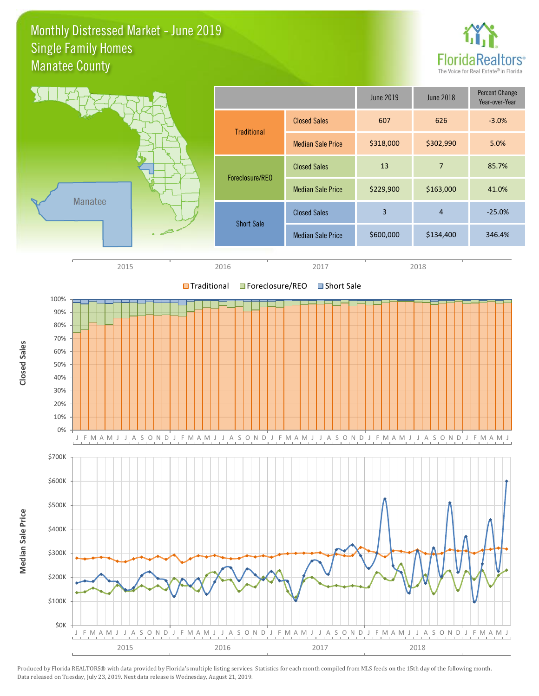#### Monthly Distressed Market - June 2019 Manatee County Single Family Homes

\$0K





Produced by Florida REALTORS® with data provided by Florida's multiple listing services. Statistics for each month compiled from MLS feeds on the 15th day of the following month. Data released on Tuesday, July 23, 2019. Next data release is Wednesday, August 21, 2019.

2015 2016 2017 2018

J F M A M J J A S O N D J F M A M J J A S O N D J F M A M J J A S O N D J F M A M J J A S O N D J F M A M J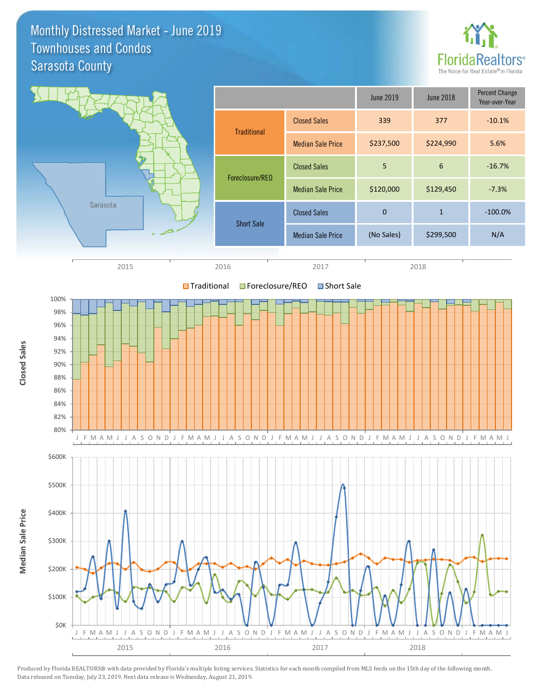Monthly Distressed Market - June 2019 Sarasota County Townhouses and Condos